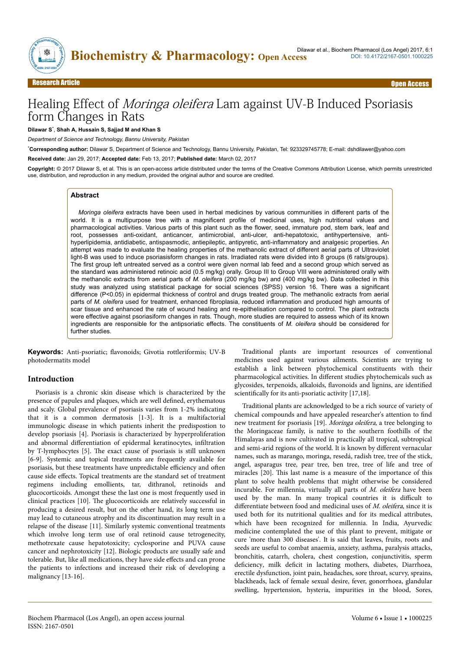

# Healing Effect of Moringa oleifera Lam against UV-B Induced Psoriasis form Changes in Rats

#### **Dilawar S**\* , **Shah A, Hussain S, Sajjad M and Khan S**

*Department of Science and Technology, Bannu University, Pakistan*

\***Corresponding author:** Dilawar S, Department of Science and Technology, Bannu University, Pakistan, Tel: 923329745778; E-mail: dshdilawer@yahoo.com **Received date:** Jan 29, 2017; **Accepted date:** Feb 13, 2017; **Published date:** March 02, 2017

**Copyright:** © 2017 Dilawar S, et al. This is an open-access article distributed under the terms of the Creative Commons Attribution License, which permits unrestricted use, distribution, and reproduction in any medium, provided the original author and source are credited.

#### **Abstract**

*Moringa oleifera* extracts have been used in herbal medicines by various communities in different parts of the world. It is a multipurpose tree with a magnificent profile of medicinal uses, high nutritional values and pharmacological activities. Various parts of this plant such as the flower, seed, immature pod, stem bark, leaf and root, possesses anti-oxidant, anticancer, antimicrobial, anti-ulcer, anti-hepatotoxic, antihypertensive, antihyperlipidemia, antidiabetic, antispasmodic, antiepileptic, antipyretic, anti-inflammatory and analgesic properties. An attempt was made to evaluate the healing properties of the methanolic extract of different aerial parts of Ultraviolet light-B was used to induce psoriasisform changes in rats. Irradiated rats were divided into 8 groups (6 rats/groups). The first group left untreated served as a control were given normal lab feed and a second group which served as the standard was administered retinoic acid (0.5 mg/kg) orally. Group III to Group VIII were administered orally with the methanolic extracts from aerial parts of *M. oleifera* (200 mg/kg bw) and (400 mg/kg bw). Data collected in this study was analyzed using statistical package for social sciences (SPSS) version 16. There was a significant difference (P<0.05) in epidermal thickness of control and drugs treated group. The methanolic extracts from aerial parts of *M. oleifera* used for treatment, enhanced fibroplasia, reduced inflammation and produced high amounts of scar tissue and enhanced the rate of wound healing and re-epithelisation compared to control. The plant extracts were effective against psoriasiform changes in rats. Though, more studies are required to assess which of its known ingredients are responsible for the antipsoriatic effects. The constituents of *M. oleifera* should be considered for further studies.

**Keywords:** Anti-psoriatic; flavonoids; Givotia rottleriformis; UV-B photodermatits model

#### **Introduction**

Psoriasis is a chronic skin disease which is characterized by the presence of papules and plaques, which are well defined, erythematous and scaly. Global prevalence of psoriasis varies from 1-2% indicating that it is a common dermatosis [1-3]. It is a multifactorial immunologic disease in which patients inherit the predispostion to develop psoriasis [4]. Psoriasis is characterized by hyperproliferation and abnormal differentiation of epidermal keratinocytes, infiltration by T-lymphocytes [5]. Нe exact cause of psoriasis is still unknown [6-9]. Systemic and topical treatments are frequently available for psoriasis, but these treatments have unpredictable efficiency and often cause side effects. Topical treatments are the standard set of treatment regimens including emollients, tar, dithranol, retinoids and glucocorticoids. Amongst these the last one is most frequently used in clinical practices [10]. Нe glucocorticoids are relatively successful in producing a desired result, but on the other hand, its long term use may lead to cutaneous atrophy and its discontinuation may result in a relapse of the disease [11]. Similarly systemic conventional treatments which involve long term use of oral retinoid cause tetrogenecity, methotrexate cause hepatotoxicity; cyclosporine and PUVA cause cancer and nephrotoxicity [12]. Biologic products are usually safe and tolerable. But, like all medications, they have side effects and can prone the patients to infections and increased their risk of developing a malignancy [13-16].

Traditional plants are important resources of conventional medicines used against various ailments. Scientists are trying to establish a link between phytochemical constituents with their pharmacological activities. In different studies phytochemicals such as glycosides, terpenoids, alkaloids, flavonoids and lignins, are identified scientifically for its anti-psoriatic activity [17,18].

Traditional plants are acknowledged to be a rich source of variety of chemical compounds and have appealed researcher's attention to find new treatment for psoriasis [19]. Moringa oleifera, a tree belonging to the Moringaceae family, is native to the southern foothills of the Himalayas and is now cultivated in practically all tropical, subtropical and semi-arid regions of the world. It is known by different vernacular names, such as marango, moringa, resedá, radish tree, tree of the stick, angel, asparagus tree, pear tree, ben tree, tree of life and tree of miracles [20]. Нis last name is a measure of the importance of this plant to solve health problems that might otherwise be considered incurable. For millennia, virtually all parts of M. oleifera have been used by the man. In many tropical countries it is difficult to differentiate between food and medicinal uses of  $M$ . oleifera, since it is used both for its nutritional qualities and for its medical attributes, which have been recognized for millennia. In India, Ayurvedic medicine contemplated the use of this plant to prevent, mitigate or cure 'more than 300 diseases'. It is said that leaves, fruits, roots and seeds are useful to combat anaemia, anxiety, asthma, paralysis attacks, bronchitis, catarrh, cholera, chest congestion, conjunctivitis, sperm deficiency, milk deficit in lactating mothers, diabetes, Diarrhoea, erectile dysfunction, joint pain, headaches, sore throat, scurvy, sprains, blackheads, lack of female sexual desire, fever, gonorrhoea, glandular swelling, hypertension, hysteria, impurities in the blood, Sores,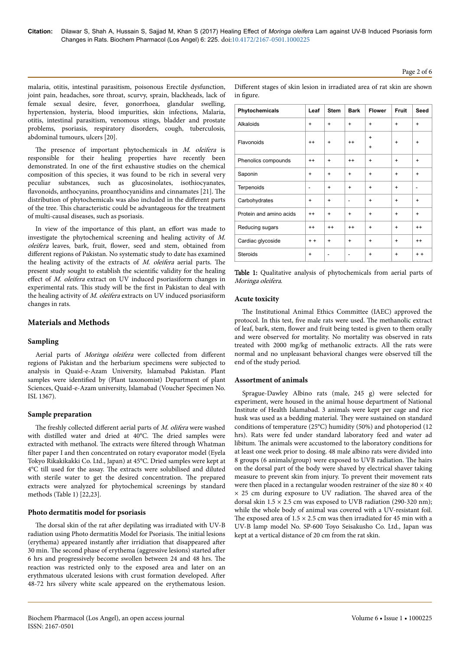**Citation:** Dilawar S, Shah A, Hussain S, Sajjad M, Khan S (2017) Healing Effect of *Moringa oleifera* Lam against UV-B Induced Psoriasis form Changes in Rats. Biochem Pharmacol (Los Angel) 6: 225. doi:10.4172/2167-0501.1000225

in figure.

# Page 2 of 6

malaria, otitis, intestinal parasitism, poisonous Erectile dysfunction, joint pain, headaches, sore throat, scurvy, sprain, blackheads, lack of female sexual desire, fever, gonorrhoea, glandular swelling, hypertension, hysteria, blood impurities, skin infections, Malaria, otitis, intestinal parasitism, venomous stings, bladder and prostate problems, psoriasis, respiratory disorders, cough, tuberculosis, abdominal tumours, ulcers [20].

The presence of important phytochemicals in  $M$ . oleifera is responsible for their healing properties have recently been demonstrated. In one of the first exhaustive studies on the chemical composition of this species, it was found to be rich in several very peculiar substances, such as glucosinolates, isothiocyanates, flavonoids, anthocyanins, proanthocyanidins and cinnamates [21]. The distribution of phytochemicals was also included in the different parts of the tree. Нis characteristic could be advantageous for the treatment of multi-causal diseases, such as psoriasis.

In view of the importance of this plant, an effort was made to investigate the phytochemical screening and healing activity of M. oleifera leaves, bark, fruit, flower, seed and stem, obtained from different regions of Pakistan. No systematic study to date has examined the healing activity of the extracts of  $M$ . oleifera aerial parts. The present study sought to establish the scientific validity for the healing effect of  $M$ . oleifera extract on UV induced psoriasiform changes in experimental rats. Нis study will be the first in Pakistan to deal with the healing activity of M. oleifera extracts on UV induced psoriasiform changes in rats.

# **Materials and Methods**

# **Sampling**

Aerial parts of Moringa oleifera were collected from different regions of Pakistan and the herbarium specimens were subjected to analysis in Quaid-e-Azam University, Islamabad Pakistan. Plant samples were identified by (Plant taxonomist) Department of plant Sciences, Quaid-e-Azam university, Islamabad (Voucher Specimen No. ISL 1367).

# **Sample preparation**

The freshly collected different aerial parts of M. olifera were washed with distilled water and dried at 40°C. Нe dried samples were extracted with methanol. Нe extracts were filtered through Whatman filter paper I and then concentrated on rotary evaporator model (Eyela Tokyo Rikakikakki Co. Ltd., Japan) at 45°C. Dried samples were kept at 4°C till used for the assay. Нe extracts were solubilised and diluted with sterile water to get the desired concentration. Нe prepared extracts were analyzed for phytochemical screenings by standard methods (Table 1) [22,23].

# **Photo dermatitis model for psoriasis**

The dorsal skin of the rat after depilating was irradiated with UV-B radiation using Photo dermatitis Model for Psoriasis. Нe initial lesions (erythema) appeared instantly after irridiation that disappeared after 30 min. The second phase of erythema (aggressive lesions) started after 6 hrs and progressively become swollen between 24 and 48 hrs. Нe reaction was restricted only to the exposed area and later on an erythmatous ulcerated lesions with crust formation developed. After 48-72 hrs silvery white scale appeared on the erythematous lesion.

| <b>Acute toxicity</b>                                                    |
|--------------------------------------------------------------------------|
| The Institutional Animal Ethics Committee (IAEC) approved the            |
| protocol. In this test, five male rats were used. The methanolic extract |

Table 1: Qualitative analysis of phytochemicals from aerial parts of

protocol. In this test, five male rats were used. Нe methanolic extract of leaf, bark, stem, flower and fruit being tested is given to them orally and were observed for mortality. No mortality was observed in rats treated with 2000 mg/kg of methanolic extracts. All the rats were normal and no unpleasant behavioral changes were observed till the end of the study period.

# **Assortment of animals**

Moringa oleifera.

Sprague-Dawley Albino rats (male, 245 g) were selected for experiment, were housed in the animal house department of National Institute of Health Islamabad. 3 animals were kept per cage and rice husk was used as a bedding material. Нey were sustained on standard conditions of temperature (25°C) humidity (50%) and photoperiod (12 hrs). Rats were fed under standard laboratory feed and water ad libitum. Нe animals were accustomed to the laboratory conditions for at least one week prior to dosing. 48 male albino rats were divided into 8 groups (6 animals/group) were exposed to UVB radiation. Нe hairs on the dorsal part of the body were shaved by electrical shaver taking measure to prevent skin from injury. To prevent their movement rats were then placed in a rectangular wooden restrainer of the size  $80 \times 40$ × 25 cm during exposure to UV radiation. Нe shaved area of the dorsal skin  $1.5 \times 2.5$  cm was exposed to UVB radiation (290-320 nm); while the whole body of animal was covered with a UV-resistant foil. The exposed area of  $1.5 \times 2.5$  cm was then irradiated for 45 min with a UV-B lamp model No. SP-600 Toyo Seisakusho Co. Ltd., Japan was kept at a vertical distance of 20 cm from the rat skin.

| Phytochemicals          | Leaf                         | <b>Stem</b> | <b>Bark</b>                  | <b>Flower</b>          | <b>Fruit</b> | <b>Seed</b> |
|-------------------------|------------------------------|-------------|------------------------------|------------------------|--------------|-------------|
| Alkaloids               | $\ddot{}$                    | $\ddot{}$   | $\ddot{}$                    | $\ddot{}$              | $\ddot{}$    | $\ddot{}$   |
| Flavonoids              | $^{++}$                      | $\ddot{}$   | $++$                         | $\ddot{}$<br>$\ddot{}$ | $\ddot{}$    | $\ddot{}$   |
| Phenolics compounds     | $^{++}$                      | $\ddot{}$   | $++$                         | $\ddot{}$              | $\ddot{}$    | $\ddot{}$   |
| Saponin                 | $\ddot{}$                    | $\ddot{}$   | $\ddot{}$                    | $\ddot{}$              | $\ddot{}$    | $\ddot{}$   |
| Terpenoids              | $\qquad \qquad \blacksquare$ | $\ddot{}$   | $\ddot{}$                    | $\ddot{}$              | $\ddot{}$    | ۰           |
| Carbohydrates           | $+$                          | $\ddot{}$   | $\overline{a}$               | $\ddot{}$              | $\ddot{}$    | $\ddot{}$   |
| Protein and amino acids | $^{++}$                      | $\ddot{}$   | $\ddot{}$                    | $\ddot{}$              | $\ddot{}$    | $\ddot{}$   |
| Reducing sugars         | $^{++}$                      | $++$        | $++$                         | $\ddot{}$              | $\ddot{}$    | $++$        |
| Cardiac glycoside       | $+ +$                        | $\ddot{}$   | $\ddot{}$                    | $\ddot{}$              | $\ddot{}$    | $++$        |
| <b>Steroids</b>         | $\ddot{}$                    | -           | $\qquad \qquad \blacksquare$ | $\ddot{}$              | $\ddot{}$    | $+ +$       |
|                         |                              |             |                              |                        |              |             |

Different stages of skin lesion in irradiated area of rat skin are shown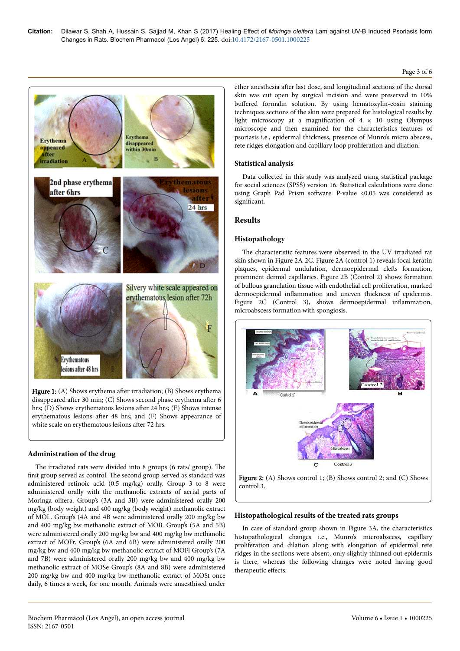# Page 3 of 6



Figure 1:  $(A)$  Shows erythema after irradiation;  $(B)$  Shows erythema disappeared after 30 min; (C) Shows second phase erythema after 6 hrs; (D) Shows erythematous lesions after 24 hrs; (E) Shows intense erythematous lesions after 48 hrs; and (F) Shows appearance of white scale on erythematous lesions after 72 hrs.

# **Administration of the drug**

The irradiated rats were divided into 8 groups (6 rats/ group). The first group served as control. Нe second group served as standard was administered retinoic acid (0.5 mg/kg) orally. Group 3 to 8 were administered orally with the methanolic extracts of aerial parts of Moringa olifera. Group's (3A and 3B) were administered orally 200 mg/kg (body weight) and 400 mg/kg (body weight) methanolic extract of MOL. Group's (4A and 4B were administered orally 200 mg/kg bw and 400 mg/kg bw methanolic extract of MOB. Group's (5A and 5B) were administered orally 200 mg/kg bw and 400 mg/kg bw methanolic extract of MOFr. Group's (6A and 6B) were administered orally 200 mg/kg bw and 400 mg/kg bw methanolic extract of MOFl Group's (7A and 7B) were administered orally 200 mg/kg bw and 400 mg/kg bw methanolic extract of MOSe Group's (8A and 8B) were administered 200 mg/kg bw and 400 mg/kg bw methanolic extract of MOSt once daily, 6 times a week, for one month. Animals were anaesthised under ether anesthesia after last dose, and longitudinal sections of the dorsal skin was cut open by surgical incision and were preserved in 10% buffered formalin solution. By using hematoxylin-eosin staining techniques sections of the skin were prepared for histological results by light microscopy at a magnification of  $4 \times 10$  using Olympus microscope and then examined for the characteristics features of psoriasis i.e., epidermal thickness, presence of Munro's micro abscess, rete ridges elongation and capillary loop proliferation and dilation.

# **Statistical analysis**

Data collected in this study was analyzed using statistical package for social sciences (SPSS) version 16. Statistical calculations were done using Graph Pad Prism software. P-value <0.05 was considered as significant.

# **Results**

# **Histopathology**

The characteristic features were observed in the UV irradiated rat skin shown in Figure 2A-2C. Figure 2A (control 1) reveals focal keratin plaques, epidermal undulation, dermoepidermal clefts formation, prominent dermal capillaries. Figure 2B (Control 2) shows formation of bullous granulation tissue with endothelial cell proliferation, marked dermoepidermal inflammation and uneven thickness of epidermis. Figure 2C (Control 3), shows dermoepidermal inflammation, microabscess formation with spongiosis.





# **Histopathological results of the treated rats groups**

In case of standard group shown in Figure 3A, the characteristics histopathological changes i.e., Munro's microabscess, capillary proliferation and dilation along with elongation of epidermal rete ridges in the sections were absent, only slightly thinned out epidermis is there, whereas the following changes were noted having good therapeutic effects.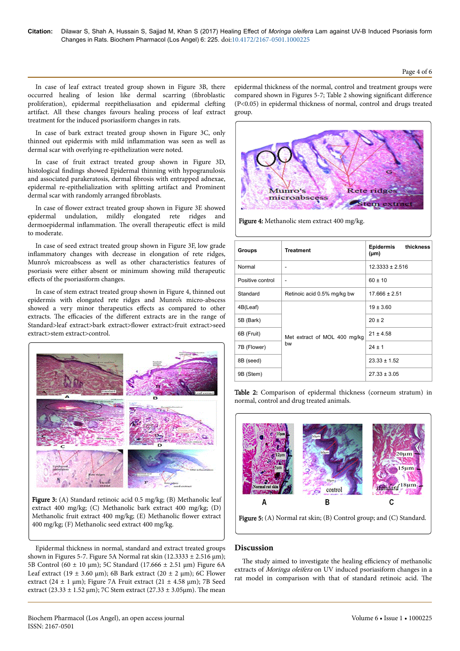In case of leaf extract treated group shown in Figure 3B, there occurred healing of lesion like dermal scarring fibroblastic proliferation), epidermal reepitheliasation and epidermal clefting artifact. All these changes favours healing process of leaf extract treatment for the induced psoriasiform changes in rats.

In case of bark extract treated group shown in Figure 3C, only thinned out epidermis with mild inflammation was seen as well as dermal scar with overlying re-epithelization were noted.

In case of fruit extract treated group shown in Figure 3D, histological findings showed Epidermal thinning with hypogranulosis and associated parakeratosis, dermal fibrosis with entrapped adnexae, epidermal re-epithelialization with splitting artifact and Prominent dermal scar with randomly arranged fibroblasts.

In case of flower extract treated group shown in Figure 3E showed epidermal undulation, mildly elongated rete ridges and dermoepidermal inflammation. The overall therapeutic effect is mild to moderate.

In case of seed extract treated group shown in Figure 3F, low grade inflammatory changes with decrease in elongation of rete ridges, Munro's microabscess as well as other characteristics features of psoriasis were either absent or minimum showing mild therapeutic effects of the psoriasiform changes.

In case of stem extract treated group shown in Figure 4, thinned out epidermis with elongated rete ridges and Munro's micro-abscess showed a very minor therapeutics effects as compared to other extracts. The efficacies of the different extracts are in the range of Standard>leaf extract>bark extract>flower extract>fruit extract>seed extract>stem extract>control.





Epidermal thickness in normal, standard and extract treated groups shown in Figures 5-7. Figure 5A Normal rat skin (12.3333  $\pm$  2.516  $\mu$ m); 5B Control (60 ± 10 µm); 5C Standard (17.666 ± 2.51 µm) Figure 6A Leaf extract (19  $\pm$  3.60 µm); 6B Bark extract (20  $\pm$  2 µm); 6C Flower extract (24  $\pm$  1 µm); Figure 7A Fruit extract (21  $\pm$  4.58 µm); 7B Seed extract (23.33  $\pm$  1.52 µm); 7C Stem extract (27.33  $\pm$  3.05µm). The mean

epidermal thickness of the normal, control and treatment groups were compared shown in Figures 5-7; Table 2 showing significant difference (P<0.05) in epidermal thickness of normal, control and drugs treated group.



Figure 4: Methanolic stem extract 400 mg/kg.

| Groups           | <b>Treatment</b>                   | Epidermis<br>thickness<br>$(\mu m)$ |
|------------------|------------------------------------|-------------------------------------|
| Normal           |                                    | $12.3333 \pm 2.516$                 |
| Positive control |                                    | $60 \pm 10$                         |
| Standard         | Retinoic acid 0.5% mg/kg bw        | $17.666 \pm 2.51$                   |
| 4B(Leaf)         |                                    | $19 \pm 3.60$                       |
| 5B (Bark)        |                                    | $20 \pm 2$                          |
| 6B (Fruit)       | Met extract of MOL 400 mg/kg<br>bw | $21 \pm 4.58$                       |
| 7B (Flower)      |                                    | $24 \pm 1$                          |
| 8B (seed)        |                                    | $23.33 \pm 1.52$                    |
| 9B (Stem)        |                                    | $27.33 \pm 3.05$                    |

Table 2: Comparison of epidermal thickness (corneum stratum) in normal, control and drug treated animals.



Figure 5: (A) Normal rat skin; (B) Control group; and (C) Standard.

# **Discussion**

The study aimed to investigate the healing efficiency of methanolic extracts of Moringa oleifera on UV induced psoriasiform changes in a rat model in comparison with that of standard retinoic acid. Нe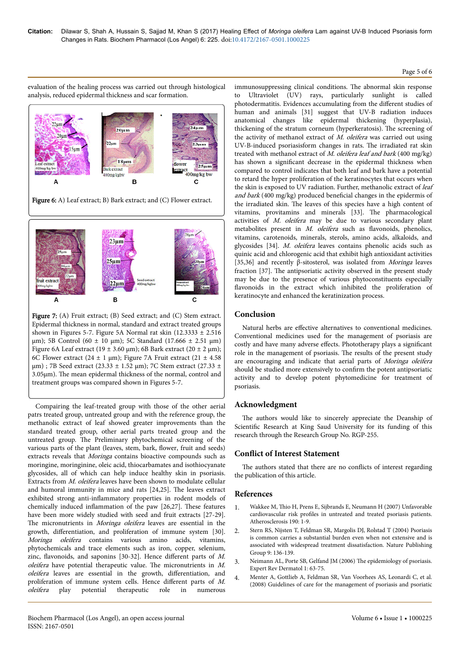#### Page 5 of 6

evaluation of the healing process was carried out through histological analysis, reduced epidermal thickness and scar formation.



Figure 6: A) Leaf extract; B) Bark extract; and (C) Flower extract.



Figure 7: (A) Fruit extract; (B) Seed extract; and (C) Stem extract. Epidermal thickness in normal, standard and extract treated groups shown in Figures 5-7. Figure 5A Normal rat skin  $(12.3333 \pm 2.516$  $\mu$ m); 5B Control (60 ± 10  $\mu$ m); 5C Standard (17.666 ± 2.51  $\mu$ m) Figure 6A Leaf extract (19  $\pm$  3.60 µm); 6B Bark extract (20  $\pm$  2 µm); 6C Flower extract (24  $\pm$  1 µm); Figure 7A Fruit extract (21  $\pm$  4.58 µm) ; 7B Seed extract (23.33 ± 1.52 µm); 7C Stem extract (27.33 ± 3.05µm). Нe mean epidermal thickness of the normal, control and treatment groups was compared shown in Figures 5-7.

Compairing the leaf-treated group with those of the other aerial patrs treated group, untreated group and with the reference group, the methanolic extract of leaf showed greater improvements than the standard treated group, other aerial parts treated group and the untreated group. Нe Preliminary phytochemical screening of the various parts of the plant (leaves, stem, bark, flower, fruit and seeds) extracts reveals that Moringa contains bioactive compounds such as moringine, moringinine, oleic acid, thiocarbamates and isothiocyanate glycosides, all of which can help induce healthy skin in psoriasis. Extracts from M. oleifera leaves have been shown to modulate cellular and humoral immunity in mice and rats [24,25]. Нe leaves extract exhibited strong anti-inflammatory properties in rodent models of chemically induced inflammation of the paw [26,27]. Нese features have been more widely studied with seed and fruit extracts [27-29]. The micronutrients in *Moringa oleifera* leaves are essential in the growth, differentiation, and proliferation of immune system [30]. Moringa oleifera contains various amino acids, vitamins, phytochemicals and trace elements such as iron, copper, selenium, zinc, flavonoids, and saponins [30-32]. Hence different parts of  $M$ . oleifera have potential therapeutic value. Нe micronutrients in M. oleifera leaves are essential in the growth, differentiation, and proliferation of immune system cells. Hence different parts of  $M$ . oleifera play potential therapeutic role in numerous immunosuppressing clinical conditions. Нe abnormal skin response to Ultraviolet (UV) rays, particularly sunlight is called photodermatitis. Evidences accumulating from the different studies of human and animals [31] suggest that UV-B radiation induces anatomical changes like epidermal thickening (hyperplasia), thickening of the stratum corneum (hyperkeratosis). Нe screening of the activity of methanol extract of  $M$ . *oleifera* was carried out using UV-B-induced psoriasisform changes in rats. Нe irradiated rat skin treated with methanol extract of M. oleifera leaf and bark (400 mg/kg) has shown a significant decrease in the epidermal thickness when compared to control indicates that both leaf and bark have a potential to retard the hyper proliferation of the keratinocytes that occurs when the skin is exposed to UV radiation. Further, methanolic extract of leaf and bark (400 mg/kg) produced beneficial changes in the epidermis of the irradiated skin. Нe leaves of this species have a high content of vitamins, provitamins and minerals [33]. Нe pharmacological activities of M. oleifera may be due to various secondary plant metabolites present in M. oleifera such as flavonoids, phenolics, vitamins, carotenoids, minerals, sterols, amino acids, alkaloids, and glycosides [34]. M. oleifera leaves contains phenolic acids such as quinic acid and chlorogenic acid that exhibit high antioxidant activities [35,36] and recently β-sitosterol, was isolated from Moringa leaves fraction [37]. Нe antipsoriatic activity observed in the present study may be due to the presence of various phytoconstituents especially flavonoids in the extract which inhibited the proliferation of keratinocyte and enhanced the keratinization process.

# **Conclusion**

Natural herbs are effective alternatives to conventional medicines. Conventional medicines used for the management of psoriasis are costly and have many adverse effects. Phototherapy plays a significant role in the management of psoriasis. Нe results of the present study are encouraging and indicate that aerial parts of Moringa oleifera should be studied more extensively to confirm the potent antipsoriatic activity and to develop potent phytomedicine for treatment of psoriasis.

# **Acknowledgment**

The authors would like to sincerely appreciate the Deanship of Scientific Research at King Saud University for its funding of this research through the Research Group No. RGP-255.

# **Conflict of Interest Statement**

The authors stated that there are no conflicts of interest regarding the publication of this article.

# **References**

- 1. Wakkee M, Нio [H, Prens E, Sijbrands E, Neumann H \(2007\) Unfavorable](http://dx.doi.org/10.1016/j.atherosclerosis.2006.07.01) cardiovascular risk profiles [in untreated and treated psoriasis patients.](http://dx.doi.org/10.1016/j.atherosclerosis.2006.07.01) [Atherosclerosis 190: 1-9.](http://dx.doi.org/10.1016/j.atherosclerosis.2006.07.01)
- 2. [Stern RS, Nijsten T, Feldman SR, Margolis DJ, Rolstad T \(2004\) Psoriasis](http://dx.doi.org/10.1046/j.1087-0024.2003.09102.x) [is common carries a substantial burden even when not extensive and is](http://dx.doi.org/10.1046/j.1087-0024.2003.09102.x) [associated with widespread treatment dissatisfaction. Nature Publishing](http://dx.doi.org/10.1046/j.1087-0024.2003.09102.x) [Group 9: 136-139.](http://dx.doi.org/10.1046/j.1087-0024.2003.09102.x)
- 3. Neimann AL, Porte SB, Gelfand JM (2006) The epidemiology of psoriasis. Expert Rev Dermatol 1: 63-75.
- 4. [Menter A, Gottlieb A, Feldman SR, Van Voorhees AS, Leonardi C, et al.](http://dx.doi.org/10.1016/j.jaad.2008.02.039) [\(2008\) Guidelines of care for the management of psoriasis and psoriatic](http://dx.doi.org/10.1016/j.jaad.2008.02.039)